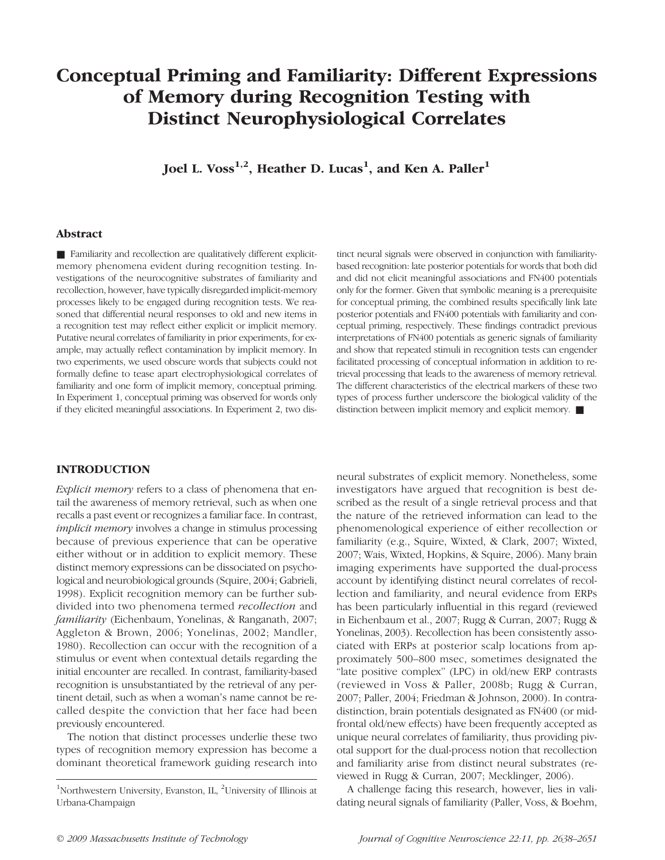# Conceptual Priming and Familiarity: Different Expressions of Memory during Recognition Testing with Distinct Neurophysiological Correlates

Joel L. Voss $^{1,2}$ , Heather D. Lucas $^1$ , and Ken A. Paller $^1$ 

### Abstract

■ Familiarity and recollection are qualitatively different explicitmemory phenomena evident during recognition testing. Investigations of the neurocognitive substrates of familiarity and recollection, however, have typically disregarded implicit-memory processes likely to be engaged during recognition tests. We reasoned that differential neural responses to old and new items in a recognition test may reflect either explicit or implicit memory. Putative neural correlates of familiarity in prior experiments, for example, may actually reflect contamination by implicit memory. In two experiments, we used obscure words that subjects could not formally define to tease apart electrophysiological correlates of familiarity and one form of implicit memory, conceptual priming. In Experiment 1, conceptual priming was observed for words only if they elicited meaningful associations. In Experiment 2, two dis-

INTRODUCTION

Explicit memory refers to a class of phenomena that entail the awareness of memory retrieval, such as when one recalls a past event or recognizes a familiar face. In contrast, implicit memory involves a change in stimulus processing because of previous experience that can be operative either without or in addition to explicit memory. These distinct memory expressions can be dissociated on psychological and neurobiological grounds (Squire, 2004; Gabrieli, 1998). Explicit recognition memory can be further subdivided into two phenomena termed recollection and familiarity (Eichenbaum, Yonelinas, & Ranganath, 2007; Aggleton & Brown, 2006; Yonelinas, 2002; Mandler, 1980). Recollection can occur with the recognition of a stimulus or event when contextual details regarding the initial encounter are recalled. In contrast, familiarity-based recognition is unsubstantiated by the retrieval of any pertinent detail, such as when a woman's name cannot be recalled despite the conviction that her face had been previously encountered.

The notion that distinct processes underlie these two types of recognition memory expression has become a dominant theoretical framework guiding research into tinct neural signals were observed in conjunction with familiaritybased recognition: late posterior potentials for words that both did and did not elicit meaningful associations and FN400 potentials only for the former. Given that symbolic meaning is a prerequisite for conceptual priming, the combined results specifically link late posterior potentials and FN400 potentials with familiarity and conceptual priming, respectively. These findings contradict previous interpretations of FN400 potentials as generic signals of familiarity and show that repeated stimuli in recognition tests can engender facilitated processing of conceptual information in addition to retrieval processing that leads to the awareness of memory retrieval. The different characteristics of the electrical markers of these two types of process further underscore the biological validity of the distinction between implicit memory and explicit memory. ■

neural substrates of explicit memory. Nonetheless, some investigators have argued that recognition is best described as the result of a single retrieval process and that the nature of the retrieved information can lead to the phenomenological experience of either recollection or familiarity (e.g., Squire, Wixted, & Clark, 2007; Wixted, 2007; Wais, Wixted, Hopkins, & Squire, 2006). Many brain imaging experiments have supported the dual-process account by identifying distinct neural correlates of recollection and familiarity, and neural evidence from ERPs has been particularly influential in this regard (reviewed in Eichenbaum et al., 2007; Rugg & Curran, 2007; Rugg & Yonelinas, 2003). Recollection has been consistently associated with ERPs at posterior scalp locations from approximately 500–800 msec, sometimes designated the "late positive complex" (LPC) in old/new ERP contrasts (reviewed in Voss & Paller, 2008b; Rugg & Curran, 2007; Paller, 2004; Friedman & Johnson, 2000). In contradistinction, brain potentials designated as FN400 (or midfrontal old/new effects) have been frequently accepted as unique neural correlates of familiarity, thus providing pivotal support for the dual-process notion that recollection and familiarity arise from distinct neural substrates (reviewed in Rugg & Curran, 2007; Mecklinger, 2006).

A challenge facing this research, however, lies in validating neural signals of familiarity (Paller, Voss, & Boehm,

<sup>&</sup>lt;sup>1</sup>Northwestern University, Evanston, IL, <sup>2</sup>University of Illinois at Urbana-Champaign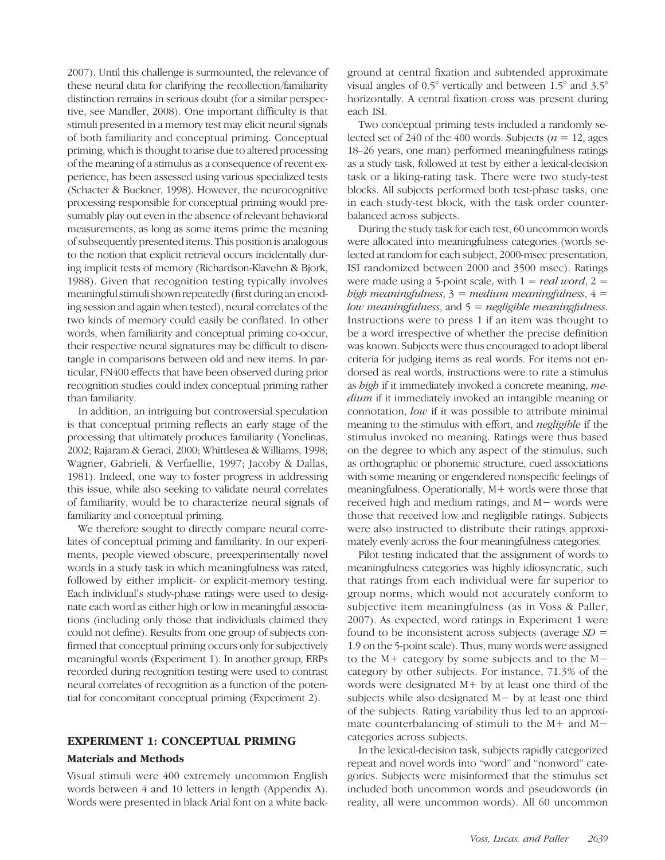2007). Until this challenge is surmounted, the relevance of these neural data for clarifying the recollection/familiarity distinction remains in serious doubt (for a similar perspective, see Mandler, 2008). One important difficulty is that stimuli presented in a memory test may elicit neural signals of both familiarity and conceptual priming. Conceptual priming, which is thought to arise due to altered processing of the meaning of a stimulus as a consequence of recent experience, has been assessed using various specialized tests (Schacter & Buckner, 1998). However, the neurocognitive processing responsible for conceptual priming would presumably play out even in the absence of relevant behavioral measurements, as long as some items prime the meaning of subsequently presented items. This position is analogous to the notion that explicit retrieval occurs incidentally during implicit tests of memory (Richardson-Klavehn & Bjork, 1988). Given that recognition testing typically involves meaningful stimuli shown repeatedly (first during an encoding session and again when tested), neural correlates of the two kinds of memory could easily be conflated. In other words, when familiarity and conceptual priming co-occur, their respective neural signatures may be difficult to disentangle in comparisons between old and new items. In particular, FN400 effects that have been observed during prior recognition studies could index conceptual priming rather than familiarity.

In addition, an intriguing but controversial speculation is that conceptual priming reflects an early stage of the processing that ultimately produces familiarity ( Yonelinas, 2002; Rajaram & Geraci, 2000; Whittlesea & Williams, 1998; Wagner, Gabrieli, & Verfaellie, 1997; Jacoby & Dallas, 1981). Indeed, one way to foster progress in addressing this issue, while also seeking to validate neural correlates of familiarity, would be to characterize neural signals of familiarity and conceptual priming.

We therefore sought to directly compare neural correlates of conceptual priming and familiarity. In our experiments, people viewed obscure, preexperimentally novel words in a study task in which meaningfulness was rated, followed by either implicit- or explicit-memory testing. Each individual's study-phase ratings were used to designate each word as either high or low in meaningful associations (including only those that individuals claimed they could not define). Results from one group of subjects confirmed that conceptual priming occurs only for subjectively meaningful words (Experiment 1). In another group, ERPs recorded during recognition testing were used to contrast neural correlates of recognition as a function of the potential for concomitant conceptual priming (Experiment 2).

### EXPERIMENT 1: CONCEPTUAL PRIMING

#### Materials and Methods

Visual stimuli were 400 extremely uncommon English words between 4 and 10 letters in length (Appendix A). Words were presented in black Arial font on a white background at central fixation and subtended approximate visual angles of 0.5° vertically and between 1.5° and 3.5° horizontally. A central fixation cross was present during each ISI.

Two conceptual priming tests included a randomly selected set of 240 of the 400 words. Subjects ( $n = 12$ , ages 18–26 years, one man) performed meaningfulness ratings as a study task, followed at test by either a lexical-decision task or a liking-rating task. There were two study-test blocks. All subjects performed both test-phase tasks, one in each study-test block, with the task order counterbalanced across subjects.

During the study task for each test, 60 uncommon words were allocated into meaningfulness categories (words selected at random for each subject, 2000-msec presentation, ISI randomized between 2000 and 3500 msec). Ratings were made using a 5-point scale, with  $1 = real word$ ,  $2 =$ high meaningfulness,  $3=$  medium meaningfulness,  $4=$ low meaningfulness, and  $5 =$  negligible meaningfulness. Instructions were to press 1 if an item was thought to be a word irrespective of whether the precise definition was known. Subjects were thus encouraged to adopt liberal criteria for judging items as real words. For items not endorsed as real words, instructions were to rate a stimulus as high if it immediately invoked a concrete meaning, medium if it immediately invoked an intangible meaning or connotation, low if it was possible to attribute minimal meaning to the stimulus with effort, and negligible if the stimulus invoked no meaning. Ratings were thus based on the degree to which any aspect of the stimulus, such as orthographic or phonemic structure, cued associations with some meaning or engendered nonspecific feelings of meaningfulness. Operationally, M+ words were those that received high and medium ratings, and M− words were those that received low and negligible ratings. Subjects were also instructed to distribute their ratings approximately evenly across the four meaningfulness categories.

Pilot testing indicated that the assignment of words to meaningfulness categories was highly idiosyncratic, such that ratings from each individual were far superior to group norms, which would not accurately conform to subjective item meaningfulness (as in Voss & Paller, 2007). As expected, word ratings in Experiment 1 were found to be inconsistent across subjects (average  $SD =$ 1.9 on the 5-point scale). Thus, many words were assigned to the M+ category by some subjects and to the M− category by other subjects. For instance, 71.3% of the words were designated M+ by at least one third of the subjects while also designated M− by at least one third of the subjects. Rating variability thus led to an approximate counterbalancing of stimuli to the M+ and M− categories across subjects.

In the lexical-decision task, subjects rapidly categorized repeat and novel words into "word" and "nonword" categories. Subjects were misinformed that the stimulus set included both uncommon words and pseudowords (in reality, all were uncommon words). All 60 uncommon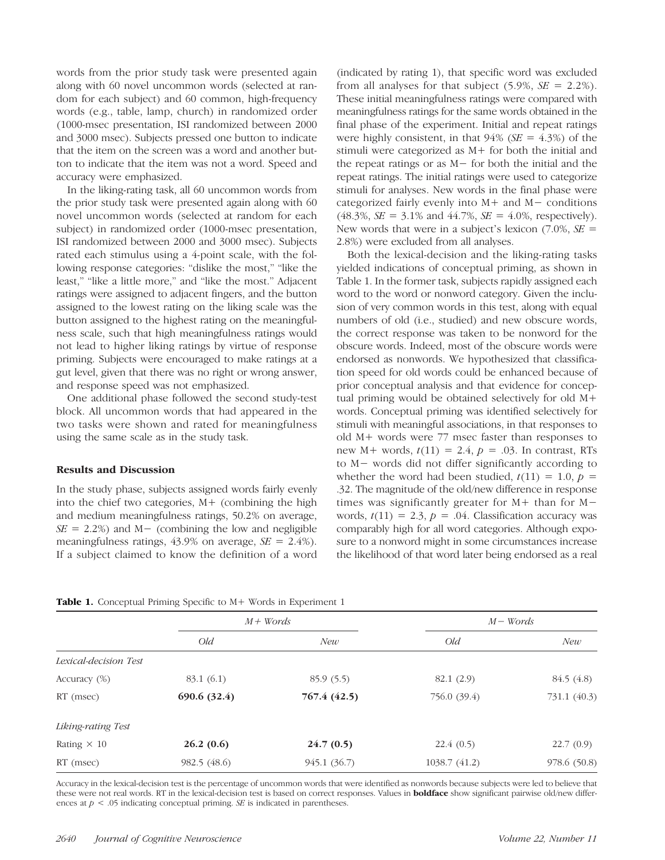words from the prior study task were presented again along with 60 novel uncommon words (selected at random for each subject) and 60 common, high-frequency words (e.g., table, lamp, church) in randomized order (1000-msec presentation, ISI randomized between 2000 and 3000 msec). Subjects pressed one button to indicate that the item on the screen was a word and another button to indicate that the item was not a word. Speed and accuracy were emphasized.

In the liking-rating task, all 60 uncommon words from the prior study task were presented again along with 60 novel uncommon words (selected at random for each subject) in randomized order (1000-msec presentation, ISI randomized between 2000 and 3000 msec). Subjects rated each stimulus using a 4-point scale, with the following response categories: "dislike the most," "like the least," "like a little more," and "like the most." Adjacent ratings were assigned to adjacent fingers, and the button assigned to the lowest rating on the liking scale was the button assigned to the highest rating on the meaningfulness scale, such that high meaningfulness ratings would not lead to higher liking ratings by virtue of response priming. Subjects were encouraged to make ratings at a gut level, given that there was no right or wrong answer, and response speed was not emphasized.

One additional phase followed the second study-test block. All uncommon words that had appeared in the two tasks were shown and rated for meaningfulness using the same scale as in the study task.

#### Results and Discussion

In the study phase, subjects assigned words fairly evenly into the chief two categories,  $M+$  (combining the high and medium meaningfulness ratings, 50.2% on average,  $SE = 2.2\%$ ) and M− (combining the low and negligible meaningfulness ratings,  $43.9\%$  on average,  $SE = 2.4\%$ ). If a subject claimed to know the definition of a word (indicated by rating 1), that specific word was excluded from all analyses for that subject  $(5.9\%, SE = 2.2\%)$ . These initial meaningfulness ratings were compared with meaningfulness ratings for the same words obtained in the final phase of the experiment. Initial and repeat ratings were highly consistent, in that  $94\%$  (SE = 4.3%) of the stimuli were categorized as M+ for both the initial and the repeat ratings or as M− for both the initial and the repeat ratings. The initial ratings were used to categorize stimuli for analyses. New words in the final phase were categorized fairly evenly into M+ and M− conditions  $(48.3\%, SE = 3.1\% \text{ and } 44.7\%, SE = 4.0\%, respectively).$ New words that were in a subject's lexicon  $(7.0\% , SE =$ 2.8%) were excluded from all analyses.

Both the lexical-decision and the liking-rating tasks yielded indications of conceptual priming, as shown in Table 1. In the former task, subjects rapidly assigned each word to the word or nonword category. Given the inclusion of very common words in this test, along with equal numbers of old (i.e., studied) and new obscure words, the correct response was taken to be nonword for the obscure words. Indeed, most of the obscure words were endorsed as nonwords. We hypothesized that classification speed for old words could be enhanced because of prior conceptual analysis and that evidence for conceptual priming would be obtained selectively for old M+ words. Conceptual priming was identified selectively for stimuli with meaningful associations, in that responses to old M+ words were 77 msec faster than responses to new M+ words,  $t(11) = 2.4$ ,  $p = .03$ . In contrast, RTs to M− words did not differ significantly according to whether the word had been studied,  $t(11) = 1.0$ ,  $p =$ .32. The magnitude of the old/new difference in response times was significantly greater for M+ than for M− words,  $t(11) = 2.3$ ,  $p = .04$ . Classification accuracy was comparably high for all word categories. Although exposure to a nonword might in some circumstances increase the likelihood of that word later being endorsed as a real

|                       | $M + Words$  |              | $M-Words$     |              |
|-----------------------|--------------|--------------|---------------|--------------|
|                       | Old          | New          | Old           | New          |
| Lexical-decision Test |              |              |               |              |
| Accuracy (%)          | 83.1 (6.1)   | 85.9(5.5)    | 82.1 (2.9)    | 84.5 (4.8)   |
| RT (msec)             | 690.6 (32.4) | 767.4 (42.5) | 756.0 (39.4)  | 731.1 (40.3) |
| Liking-rating Test    |              |              |               |              |
| Rating $\times$ 10    | 26.2(0.6)    | 24.7(0.5)    | 22.4(0.5)     | 22.7(0.9)    |
| RT (msec)             | 982.5 (48.6) | 945.1 (36.7) | 1038.7 (41.2) | 978.6 (50.8) |
|                       |              |              |               |              |

Table 1. Conceptual Priming Specific to M+ Words in Experiment 1

Accuracy in the lexical-decision test is the percentage of uncommon words that were identified as nonwords because subjects were led to believe that these were not real words. RT in the lexical-decision test is based on correct responses. Values in **boldface** show significant pairwise old/new differences at  $p < .05$  indicating conceptual priming. *SE* is indicated in parentheses.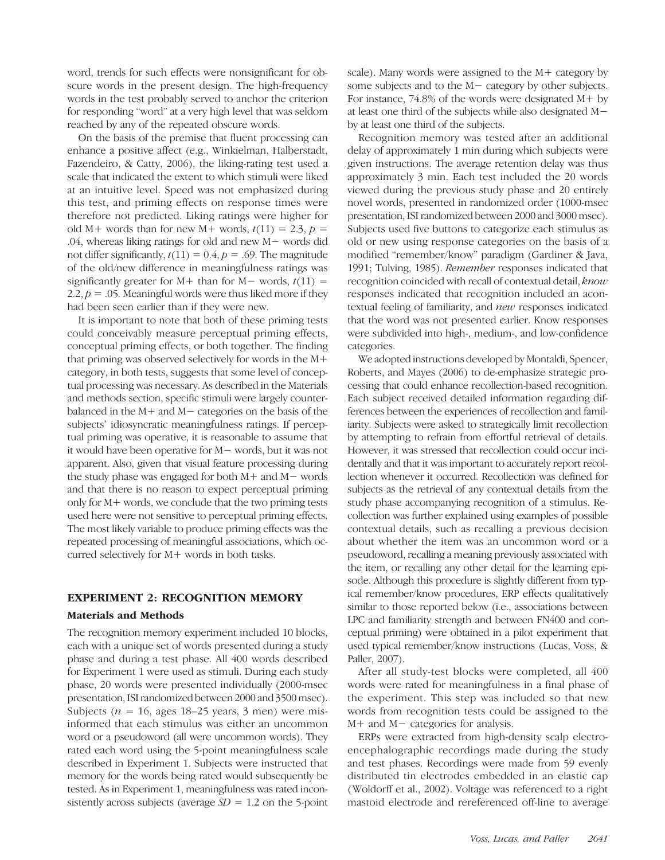word, trends for such effects were nonsignificant for obscure words in the present design. The high-frequency words in the test probably served to anchor the criterion for responding "word" at a very high level that was seldom reached by any of the repeated obscure words.

On the basis of the premise that fluent processing can enhance a positive affect (e.g., Winkielman, Halberstadt, Fazendeiro, & Catty, 2006), the liking-rating test used a scale that indicated the extent to which stimuli were liked at an intuitive level. Speed was not emphasized during this test, and priming effects on response times were therefore not predicted. Liking ratings were higher for old M+ words than for new M+ words,  $t(11) = 2.3$ ,  $p =$ .04, whereas liking ratings for old and new M− words did not differ significantly,  $t(11) = 0.4$ ,  $p = .69$ . The magnitude of the old/new difference in meaningfulness ratings was significantly greater for M+ than for M− words,  $t(11)$  = 2.2,  $p = 0.05$ . Meaningful words were thus liked more if they had been seen earlier than if they were new.

It is important to note that both of these priming tests could conceivably measure perceptual priming effects, conceptual priming effects, or both together. The finding that priming was observed selectively for words in the M+ category, in both tests, suggests that some level of conceptual processing was necessary. As described in the Materials and methods section, specific stimuli were largely counterbalanced in the M+ and M− categories on the basis of the subjects' idiosyncratic meaningfulness ratings. If perceptual priming was operative, it is reasonable to assume that it would have been operative for M− words, but it was not apparent. Also, given that visual feature processing during the study phase was engaged for both M+ and M− words and that there is no reason to expect perceptual priming only for M+ words, we conclude that the two priming tests used here were not sensitive to perceptual priming effects. The most likely variable to produce priming effects was the repeated processing of meaningful associations, which occurred selectively for M+ words in both tasks.

## EXPERIMENT 2: RECOGNITION MEMORY

#### Materials and Methods

The recognition memory experiment included 10 blocks, each with a unique set of words presented during a study phase and during a test phase. All 400 words described for Experiment 1 were used as stimuli. During each study phase, 20 words were presented individually (2000-msec presentation, ISI randomized between 2000 and 3500 msec). Subjects ( $n = 16$ , ages 18–25 years, 3 men) were misinformed that each stimulus was either an uncommon word or a pseudoword (all were uncommon words). They rated each word using the 5-point meaningfulness scale described in Experiment 1. Subjects were instructed that memory for the words being rated would subsequently be tested. As in Experiment 1, meaningfulness was rated inconsistently across subjects (average  $SD = 1.2$  on the 5-point scale). Many words were assigned to the M+ category by some subjects and to the M− category by other subjects. For instance, 74.8% of the words were designated M+ by at least one third of the subjects while also designated M− by at least one third of the subjects.

Recognition memory was tested after an additional delay of approximately 1 min during which subjects were given instructions. The average retention delay was thus approximately 3 min. Each test included the 20 words viewed during the previous study phase and 20 entirely novel words, presented in randomized order (1000-msec presentation, ISI randomized between 2000 and 3000 msec). Subjects used five buttons to categorize each stimulus as old or new using response categories on the basis of a modified "remember/know" paradigm (Gardiner & Java, 1991; Tulving, 1985). Remember responses indicated that recognition coincided with recall of contextual detail, know responses indicated that recognition included an acontextual feeling of familiarity, and new responses indicated that the word was not presented earlier. Know responses were subdivided into high-, medium-, and low-confidence categories.

We adopted instructions developed by Montaldi, Spencer, Roberts, and Mayes (2006) to de-emphasize strategic processing that could enhance recollection-based recognition. Each subject received detailed information regarding differences between the experiences of recollection and familiarity. Subjects were asked to strategically limit recollection by attempting to refrain from effortful retrieval of details. However, it was stressed that recollection could occur incidentally and that it was important to accurately report recollection whenever it occurred. Recollection was defined for subjects as the retrieval of any contextual details from the study phase accompanying recognition of a stimulus. Recollection was further explained using examples of possible contextual details, such as recalling a previous decision about whether the item was an uncommon word or a pseudoword, recalling a meaning previously associated with the item, or recalling any other detail for the learning episode. Although this procedure is slightly different from typical remember/know procedures, ERP effects qualitatively similar to those reported below (i.e., associations between LPC and familiarity strength and between FN400 and conceptual priming) were obtained in a pilot experiment that used typical remember/know instructions (Lucas, Voss, & Paller, 2007).

After all study-test blocks were completed, all 400 words were rated for meaningfulness in a final phase of the experiment. This step was included so that new words from recognition tests could be assigned to the M+ and M− categories for analysis.

ERPs were extracted from high-density scalp electroencephalographic recordings made during the study and test phases. Recordings were made from 59 evenly distributed tin electrodes embedded in an elastic cap (Woldorff et al., 2002). Voltage was referenced to a right mastoid electrode and rereferenced off-line to average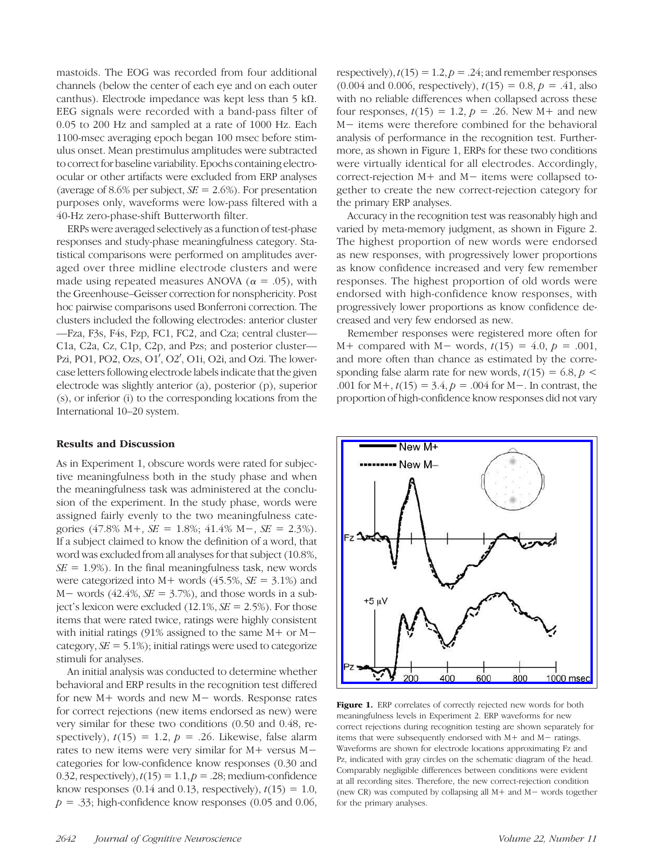mastoids. The EOG was recorded from four additional channels (below the center of each eye and on each outer canthus). Electrode impedance was kept less than 5 kΩ. EEG signals were recorded with a band-pass filter of 0.05 to 200 Hz and sampled at a rate of 1000 Hz. Each 1100-msec averaging epoch began 100 msec before stimulus onset. Mean prestimulus amplitudes were subtracted to correct for baseline variability. Epochs containing electroocular or other artifacts were excluded from ERP analyses (average of 8.6% per subject,  $SE = 2.6\%$ ). For presentation purposes only, waveforms were low-pass filtered with a 40-Hz zero-phase-shift Butterworth filter.

ERPs were averaged selectively as a function of test-phase responses and study-phase meaningfulness category. Statistical comparisons were performed on amplitudes averaged over three midline electrode clusters and were made using repeated measures ANOVA ( $\alpha$  = .05), with the Greenhouse–Geisser correction for nonsphericity. Post hoc pairwise comparisons used Bonferroni correction. The clusters included the following electrodes: anterior cluster —Fza, F3s, F4s, Fzp, FC1, FC2, and Cza; central cluster— C1a, C2a, Cz, C1p, C2p, and Pzs; and posterior cluster— Pzi, PO1, PO2, Ozs, O1', O2', O1i, O2i, and Ozi. The lowercase letters following electrode labels indicate that the given electrode was slightly anterior (a), posterior (p), superior (s), or inferior (i) to the corresponding locations from the International 10–20 system.

#### Results and Discussion

As in Experiment 1, obscure words were rated for subjective meaningfulness both in the study phase and when the meaningfulness task was administered at the conclusion of the experiment. In the study phase, words were assigned fairly evenly to the two meaningfulness categories  $(47.8\% \text{ M} +, \text{ SE} = 1.8\%; 41.4\% \text{ M} -, \text{ SE} = 2.3\%).$ If a subject claimed to know the definition of a word, that word was excluded from all analyses for that subject (10.8%,  $SE = 1.9\%$ ). In the final meaningfulness task, new words were categorized into  $M$ + words (45.5%,  $SE = 3.1\%$ ) and M – words  $(42.4\%, SE = 3.7\%)$ , and those words in a subject's lexicon were excluded  $(12.1\%, SE = 2.5\%)$ . For those items that were rated twice, ratings were highly consistent with initial ratings (91% assigned to the same M+ or M− category,  $SE = 5.1\%$ ; initial ratings were used to categorize stimuli for analyses.

An initial analysis was conducted to determine whether behavioral and ERP results in the recognition test differed for new M+ words and new M− words. Response rates for correct rejections (new items endorsed as new) were very similar for these two conditions (0.50 and 0.48, respectively),  $t(15) = 1.2$ ,  $p = .26$ . Likewise, false alarm rates to new items were very similar for M+ versus M− categories for low-confidence know responses (0.30 and 0.32, respectively),  $t(15) = 1.1$ ,  $p = .28$ ; medium-confidence know responses (0.14 and 0.13, respectively),  $t(15) = 1.0$ ,  $p = 0.33$ ; high-confidence know responses (0.05 and 0.06,

respectively),  $t(15) = 1.2$ ,  $p = .24$ ; and remember responses  $(0.004$  and 0.006, respectively),  $t(15) = 0.8$ ,  $p = .41$ , also with no reliable differences when collapsed across these four responses,  $t(15) = 1.2$ ,  $p = .26$ . New M+ and new M− items were therefore combined for the behavioral analysis of performance in the recognition test. Furthermore, as shown in Figure 1, ERPs for these two conditions were virtually identical for all electrodes. Accordingly, correct-rejection M+ and M− items were collapsed together to create the new correct-rejection category for the primary ERP analyses.

Accuracy in the recognition test was reasonably high and varied by meta-memory judgment, as shown in Figure 2. The highest proportion of new words were endorsed as new responses, with progressively lower proportions as know confidence increased and very few remember responses. The highest proportion of old words were endorsed with high-confidence know responses, with progressively lower proportions as know confidence decreased and very few endorsed as new.

Remember responses were registered more often for M+ compared with M- words,  $t(15) = 4.0$ ,  $p = .001$ , and more often than chance as estimated by the corresponding false alarm rate for new words,  $t(15) = 6.8$ ,  $p <$ .001 for  $M +$ ,  $t(15) = 3.4$ ,  $p = .004$  for  $M -$ . In contrast, the proportion of high-confidence know responses did not vary



Figure 1. ERP correlates of correctly rejected new words for both meaningfulness levels in Experiment 2. ERP waveforms for new correct rejections during recognition testing are shown separately for items that were subsequently endorsed with M+ and M− ratings. Waveforms are shown for electrode locations approximating Fz and Pz, indicated with gray circles on the schematic diagram of the head. Comparably negligible differences between conditions were evident at all recording sites. Therefore, the new correct-rejection condition (new CR) was computed by collapsing all M+ and M− words together for the primary analyses.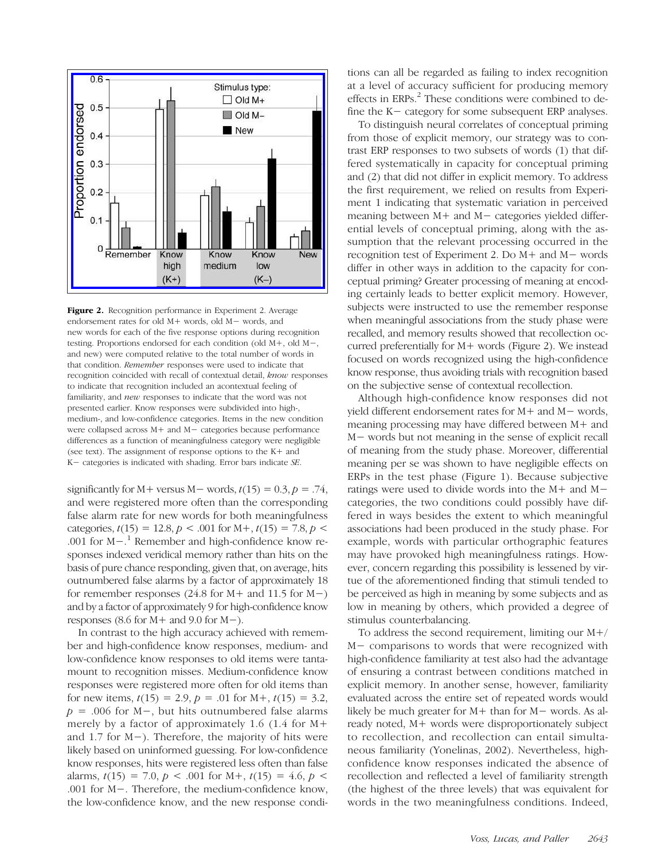

Figure 2. Recognition performance in Experiment 2. Average endorsement rates for old M+ words, old M− words, and new words for each of the five response options during recognition testing. Proportions endorsed for each condition (old M+, old M−, and new) were computed relative to the total number of words in that condition. Remember responses were used to indicate that recognition coincided with recall of contextual detail, know responses to indicate that recognition included an acontextual feeling of familiarity, and new responses to indicate that the word was not presented earlier. Know responses were subdivided into high-, medium-, and low-confidence categories. Items in the new condition were collapsed across M+ and M− categories because performance differences as a function of meaningfulness category were negligible (see text). The assignment of response options to the K+ and K− categories is indicated with shading. Error bars indicate SE.

significantly for M+ versus M – words,  $t(15) = 0.3, p = .74$ , and were registered more often than the corresponding false alarm rate for new words for both meaningfulness categories,  $t(15) = 12.8, p < .001$  for M+,  $t(15) = 7.8, p <$ .001 for M−. <sup>1</sup> Remember and high-confidence know responses indexed veridical memory rather than hits on the basis of pure chance responding, given that, on average, hits outnumbered false alarms by a factor of approximately 18 for remember responses  $(24.8$  for M+ and 11.5 for M−) and by a factor of approximately 9 for high-confidence know responses (8.6 for M+ and 9.0 for M−).

In contrast to the high accuracy achieved with remember and high-confidence know responses, medium- and low-confidence know responses to old items were tantamount to recognition misses. Medium-confidence know responses were registered more often for old items than for new items,  $t(15) = 2.9$ ,  $p = .01$  for M+,  $t(15) = 3.2$ ,  $p = .006$  for M−, but hits outnumbered false alarms merely by a factor of approximately 1.6 (1.4 for M+ and 1.7 for M−). Therefore, the majority of hits were likely based on uninformed guessing. For low-confidence know responses, hits were registered less often than false alarms,  $t(15) = 7.0$ ,  $p < .001$  for M+,  $t(15) = 4.6$ ,  $p <$ .001 for M−. Therefore, the medium-confidence know, the low-confidence know, and the new response condi-

tions can all be regarded as failing to index recognition at a level of accuracy sufficient for producing memory effects in ERPs.<sup>2</sup> These conditions were combined to define the K− category for some subsequent ERP analyses.

To distinguish neural correlates of conceptual priming from those of explicit memory, our strategy was to contrast ERP responses to two subsets of words (1) that differed systematically in capacity for conceptual priming and (2) that did not differ in explicit memory. To address the first requirement, we relied on results from Experiment 1 indicating that systematic variation in perceived meaning between M+ and M− categories yielded differential levels of conceptual priming, along with the assumption that the relevant processing occurred in the recognition test of Experiment 2. Do M+ and M− words differ in other ways in addition to the capacity for conceptual priming? Greater processing of meaning at encoding certainly leads to better explicit memory. However, subjects were instructed to use the remember response when meaningful associations from the study phase were recalled, and memory results showed that recollection occurred preferentially for M+ words (Figure 2). We instead focused on words recognized using the high-confidence know response, thus avoiding trials with recognition based on the subjective sense of contextual recollection.

Although high-confidence know responses did not yield different endorsement rates for M+ and M− words, meaning processing may have differed between M+ and M− words but not meaning in the sense of explicit recall of meaning from the study phase. Moreover, differential meaning per se was shown to have negligible effects on ERPs in the test phase (Figure 1). Because subjective ratings were used to divide words into the M+ and M− categories, the two conditions could possibly have differed in ways besides the extent to which meaningful associations had been produced in the study phase. For example, words with particular orthographic features may have provoked high meaningfulness ratings. However, concern regarding this possibility is lessened by virtue of the aforementioned finding that stimuli tended to be perceived as high in meaning by some subjects and as low in meaning by others, which provided a degree of stimulus counterbalancing.

To address the second requirement, limiting our  $M+/$ M− comparisons to words that were recognized with high-confidence familiarity at test also had the advantage of ensuring a contrast between conditions matched in explicit memory. In another sense, however, familiarity evaluated across the entire set of repeated words would likely be much greater for M+ than for M− words. As already noted, M+ words were disproportionately subject to recollection, and recollection can entail simultaneous familiarity (Yonelinas, 2002). Nevertheless, highconfidence know responses indicated the absence of recollection and reflected a level of familiarity strength (the highest of the three levels) that was equivalent for words in the two meaningfulness conditions. Indeed,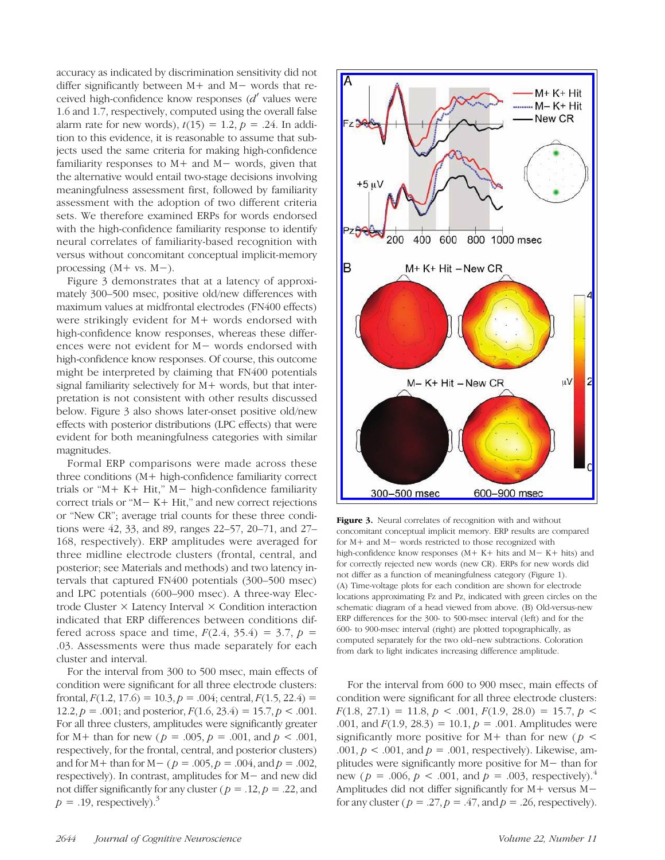accuracy as indicated by discrimination sensitivity did not differ significantly between M+ and M− words that received high-confidence know responses  $(d'$  values were 1.6 and 1.7, respectively, computed using the overall false alarm rate for new words),  $t(15) = 1.2$ ,  $p = .24$ . In addition to this evidence, it is reasonable to assume that subjects used the same criteria for making high-confidence familiarity responses to M+ and M− words, given that the alternative would entail two-stage decisions involving meaningfulness assessment first, followed by familiarity assessment with the adoption of two different criteria sets. We therefore examined ERPs for words endorsed with the high-confidence familiarity response to identify neural correlates of familiarity-based recognition with versus without concomitant conceptual implicit-memory processing  $(M+ vs. M-)$ .

Figure 3 demonstrates that at a latency of approximately 300–500 msec, positive old/new differences with maximum values at midfrontal electrodes (FN400 effects) were strikingly evident for M+ words endorsed with high-confidence know responses, whereas these differences were not evident for M− words endorsed with high-confidence know responses. Of course, this outcome might be interpreted by claiming that FN400 potentials signal familiarity selectively for M+ words, but that interpretation is not consistent with other results discussed below. Figure 3 also shows later-onset positive old/new effects with posterior distributions (LPC effects) that were evident for both meaningfulness categories with similar magnitudes.

Formal ERP comparisons were made across these three conditions (M+ high-confidence familiarity correct trials or "M+ K+ Hit," M− high-confidence familiarity correct trials or "M− K+ Hit," and new correct rejections or "New CR"; average trial counts for these three conditions were 42, 33, and 89, ranges 22–57, 20–71, and 27– 168, respectively). ERP amplitudes were averaged for three midline electrode clusters (frontal, central, and posterior; see Materials and methods) and two latency intervals that captured FN400 potentials (300–500 msec) and LPC potentials (600–900 msec). A three-way Electrode Cluster × Latency Interval × Condition interaction indicated that ERP differences between conditions differed across space and time,  $F(2.4, 35.4) = 3.7$ ,  $p =$ .03. Assessments were thus made separately for each cluster and interval.

For the interval from 300 to 500 msec, main effects of condition were significant for all three electrode clusters: frontal,  $F(1.2, 17.6) = 10.3, p = .004$ ; central,  $F(1.5, 22.4) =$ 12.2,  $p = .001$ ; and posterior,  $F(1.6, 23.4) = 15.7$ ,  $p < .001$ . For all three clusters, amplitudes were significantly greater for M+ than for new ( $p = .005$ ,  $p = .001$ , and  $p < .001$ , respectively, for the frontal, central, and posterior clusters) and for M+ than for M – ( $p = .005$ ,  $p = .004$ , and  $p = .002$ , respectively). In contrast, amplitudes for M− and new did not differ significantly for any cluster ( $p = .12$ ,  $p = .22$ , and  $p = .19$ , respectively).<sup>3</sup>



Figure 3. Neural correlates of recognition with and without concomitant conceptual implicit memory. ERP results are compared for M+ and M− words restricted to those recognized with high-confidence know responses (M+ K+ hits and M− K+ hits) and for correctly rejected new words (new CR). ERPs for new words did not differ as a function of meaningfulness category (Figure 1). (A) Time-voltage plots for each condition are shown for electrode locations approximating Fz and Pz, indicated with green circles on the schematic diagram of a head viewed from above. (B) Old-versus-new ERP differences for the 300- to 500-msec interval (left) and for the 600- to 900-msec interval (right) are plotted topographically, as computed separately for the two old–new subtractions. Coloration from dark to light indicates increasing difference amplitude.

For the interval from 600 to 900 msec, main effects of condition were significant for all three electrode clusters:  $F(1.8, 27.1) = 11.8, p < .001, F(1.9, 28.0) = 15.7, p <$ .001, and  $F(1.9, 28.3) = 10.1, p = .001$ . Amplitudes were significantly more positive for  $M+$  than for new ( $p <$ .001,  $p < .001$ , and  $p = .001$ , respectively). Likewise, amplitudes were significantly more positive for M− than for new ( $p = .006$ ,  $p < .001$ , and  $p = .003$ , respectively).<sup>4</sup> Amplitudes did not differ significantly for M+ versus M− for any cluster ( $p = .27$ ,  $p = .47$ , and  $p = .26$ , respectively).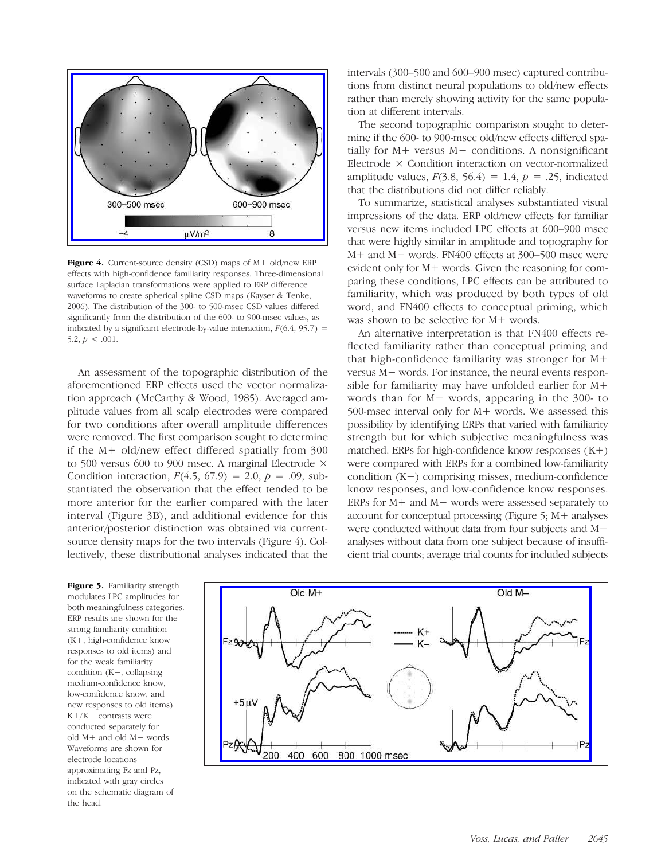

Figure 4. Current-source density (CSD) maps of M+ old/new ERP effects with high-confidence familiarity responses. Three-dimensional surface Laplacian transformations were applied to ERP difference waveforms to create spherical spline CSD maps (Kayser & Tenke, 2006). The distribution of the 300- to 500-msec CSD values differed significantly from the distribution of the 600- to 900-msec values, as indicated by a significant electrode-by-value interaction,  $F(6.4, 95.7) =$ 5.2,  $p < .001$ .

An assessment of the topographic distribution of the aforementioned ERP effects used the vector normalization approach (McCarthy & Wood, 1985). Averaged amplitude values from all scalp electrodes were compared for two conditions after overall amplitude differences were removed. The first comparison sought to determine if the M+ old/new effect differed spatially from 300 to 500 versus 600 to 900 msec. A marginal Electrode × Condition interaction,  $F(4.5, 67.9) = 2.0, p = .09$ , substantiated the observation that the effect tended to be more anterior for the earlier compared with the later interval (Figure 3B), and additional evidence for this anterior/posterior distinction was obtained via currentsource density maps for the two intervals (Figure 4). Collectively, these distributional analyses indicated that the

intervals (300–500 and 600–900 msec) captured contributions from distinct neural populations to old/new effects rather than merely showing activity for the same population at different intervals.

The second topographic comparison sought to determine if the 600- to 900-msec old/new effects differed spatially for M+ versus M− conditions. A nonsignificant Electrode × Condition interaction on vector-normalized amplitude values,  $F(3.8, 56.4) = 1.4, p = .25$ , indicated that the distributions did not differ reliably.

To summarize, statistical analyses substantiated visual impressions of the data. ERP old/new effects for familiar versus new items included LPC effects at 600–900 msec that were highly similar in amplitude and topography for M+ and M− words. FN400 effects at 300–500 msec were evident only for M+ words. Given the reasoning for comparing these conditions, LPC effects can be attributed to familiarity, which was produced by both types of old word, and FN400 effects to conceptual priming, which was shown to be selective for M+ words.

An alternative interpretation is that FN400 effects reflected familiarity rather than conceptual priming and that high-confidence familiarity was stronger for M+ versus M− words. For instance, the neural events responsible for familiarity may have unfolded earlier for M+ words than for M− words, appearing in the 300- to 500-msec interval only for M+ words. We assessed this possibility by identifying ERPs that varied with familiarity strength but for which subjective meaningfulness was matched. ERPs for high-confidence know responses  $(K+)$ were compared with ERPs for a combined low-familiarity condition (K−) comprising misses, medium-confidence know responses, and low-confidence know responses. ERPs for M+ and M− words were assessed separately to account for conceptual processing (Figure 5; M+ analyses were conducted without data from four subjects and M− analyses without data from one subject because of insufficient trial counts; average trial counts for included subjects

Figure 5. Familiarity strength modulates LPC amplitudes for both meaningfulness categories. ERP results are shown for the strong familiarity condition (K+, high-confidence know responses to old items) and for the weak familiarity condition (K−, collapsing medium-confidence know, low-confidence know, and new responses to old items). K+/K− contrasts were conducted separately for old M+ and old M− words. Waveforms are shown for electrode locations approximating Fz and Pz, indicated with gray circles on the schematic diagram of the head.

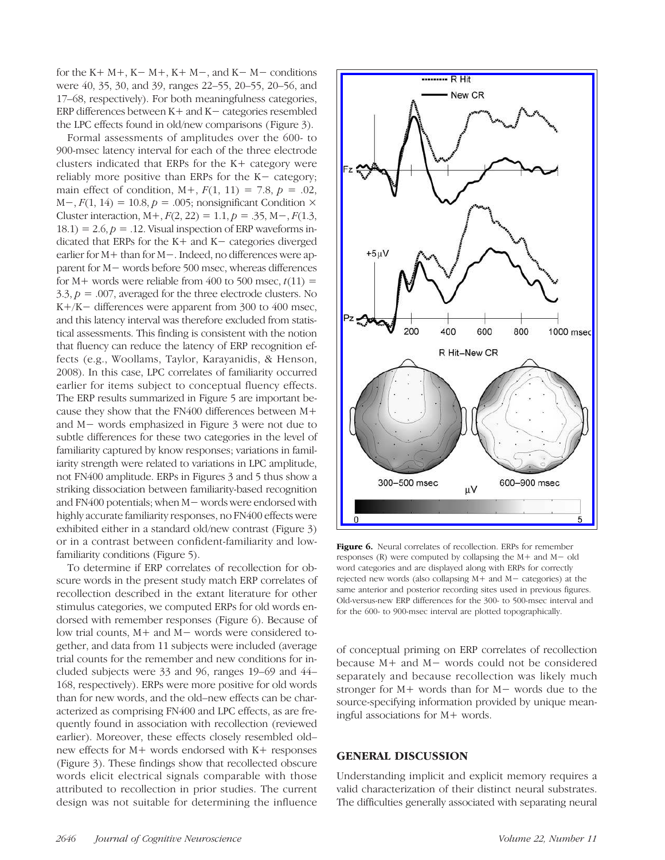for the K+  $M+$ , K–  $M+$ , K+  $M-$ , and K–  $M-$  conditions were 40, 35, 30, and 39, ranges 22–55, 20–55, 20–56, and 17–68, respectively). For both meaningfulness categories, ERP differences between K+ and K− categories resembled the LPC effects found in old/new comparisons (Figure 3).

Formal assessments of amplitudes over the 600- to 900-msec latency interval for each of the three electrode clusters indicated that ERPs for the K+ category were reliably more positive than ERPs for the K− category; main effect of condition,  $M_{+}$ ,  $F(1, 11) = 7.8$ ,  $p = .02$ ,  $M-, F(1, 14) = 10.8, p = .005$ ; nonsignificant Condition × Cluster interaction,  $M +$ ,  $F(2, 22) = 1.1$ ,  $p = .35$ ,  $M -$ ,  $F(1.3)$ ,  $18.1$ ) = 2.6,  $p = 0.12$ . Visual inspection of ERP waveforms indicated that ERPs for the K+ and K− categories diverged earlier for M+ than for M−. Indeed, no differences were apparent for M− words before 500 msec, whereas differences for M+ words were reliable from 400 to 500 msec,  $t(11) =$ 3.3,  $p = .007$ , averaged for the three electrode clusters. No K+/K− differences were apparent from 300 to 400 msec, and this latency interval was therefore excluded from statistical assessments. This finding is consistent with the notion that fluency can reduce the latency of ERP recognition effects (e.g., Woollams, Taylor, Karayanidis, & Henson, 2008). In this case, LPC correlates of familiarity occurred earlier for items subject to conceptual fluency effects. The ERP results summarized in Figure 5 are important because they show that the FN400 differences between M+ and M− words emphasized in Figure 3 were not due to subtle differences for these two categories in the level of familiarity captured by know responses; variations in familiarity strength were related to variations in LPC amplitude, not FN400 amplitude. ERPs in Figures 3 and 5 thus show a striking dissociation between familiarity-based recognition and FN400 potentials; when M− words were endorsed with highly accurate familiarity responses, no FN400 effects were exhibited either in a standard old/new contrast (Figure 3) or in a contrast between confident-familiarity and lowfamiliarity conditions (Figure 5).

To determine if ERP correlates of recollection for obscure words in the present study match ERP correlates of recollection described in the extant literature for other stimulus categories, we computed ERPs for old words endorsed with remember responses (Figure 6). Because of low trial counts, M+ and M− words were considered together, and data from 11 subjects were included (average trial counts for the remember and new conditions for included subjects were 33 and 96, ranges 19–69 and 44– 168, respectively). ERPs were more positive for old words than for new words, and the old–new effects can be characterized as comprising FN400 and LPC effects, as are frequently found in association with recollection (reviewed earlier). Moreover, these effects closely resembled old– new effects for M+ words endorsed with K+ responses (Figure 3). These findings show that recollected obscure words elicit electrical signals comparable with those attributed to recollection in prior studies. The current design was not suitable for determining the influence



Figure 6. Neural correlates of recollection. ERPs for remember responses (R) were computed by collapsing the M+ and M− old word categories and are displayed along with ERPs for correctly rejected new words (also collapsing M+ and M− categories) at the same anterior and posterior recording sites used in previous figures. Old-versus-new ERP differences for the 300- to 500-msec interval and for the 600- to 900-msec interval are plotted topographically.

of conceptual priming on ERP correlates of recollection because M+ and M− words could not be considered separately and because recollection was likely much stronger for M+ words than for M− words due to the source-specifying information provided by unique meaningful associations for M+ words.

#### GENERAL DISCUSSION

Understanding implicit and explicit memory requires a valid characterization of their distinct neural substrates. The difficulties generally associated with separating neural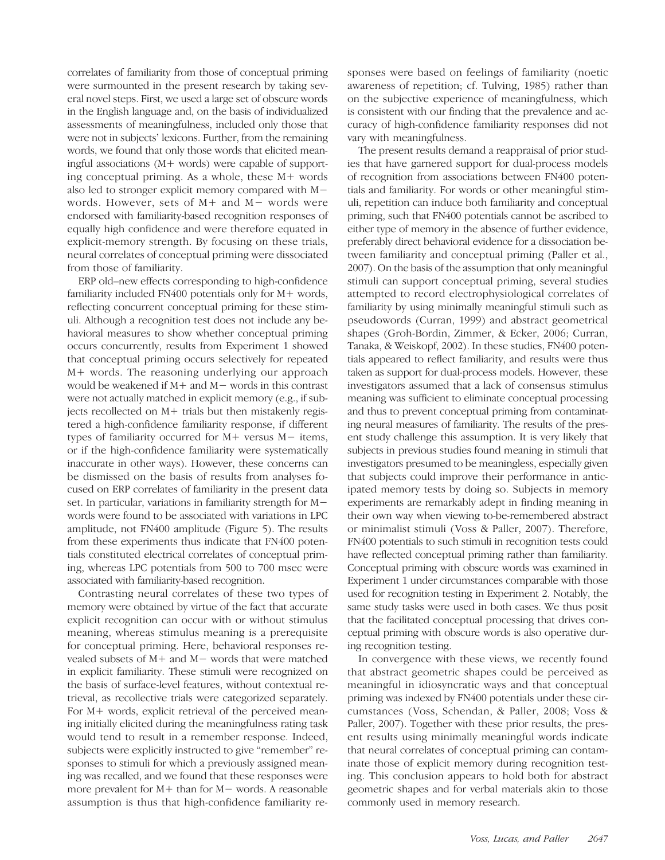correlates of familiarity from those of conceptual priming were surmounted in the present research by taking several novel steps. First, we used a large set of obscure words in the English language and, on the basis of individualized assessments of meaningfulness, included only those that were not in subjects' lexicons. Further, from the remaining words, we found that only those words that elicited meaningful associations (M+ words) were capable of supporting conceptual priming. As a whole, these M+ words also led to stronger explicit memory compared with M− words. However, sets of M+ and M− words were endorsed with familiarity-based recognition responses of equally high confidence and were therefore equated in explicit-memory strength. By focusing on these trials, neural correlates of conceptual priming were dissociated from those of familiarity.

ERP old–new effects corresponding to high-confidence familiarity included FN400 potentials only for M+ words, reflecting concurrent conceptual priming for these stimuli. Although a recognition test does not include any behavioral measures to show whether conceptual priming occurs concurrently, results from Experiment 1 showed that conceptual priming occurs selectively for repeated M+ words. The reasoning underlying our approach would be weakened if M+ and M− words in this contrast were not actually matched in explicit memory (e.g., if subjects recollected on M+ trials but then mistakenly registered a high-confidence familiarity response, if different types of familiarity occurred for M+ versus M− items, or if the high-confidence familiarity were systematically inaccurate in other ways). However, these concerns can be dismissed on the basis of results from analyses focused on ERP correlates of familiarity in the present data set. In particular, variations in familiarity strength for M− words were found to be associated with variations in LPC amplitude, not FN400 amplitude (Figure 5). The results from these experiments thus indicate that FN400 potentials constituted electrical correlates of conceptual priming, whereas LPC potentials from 500 to 700 msec were associated with familiarity-based recognition.

Contrasting neural correlates of these two types of memory were obtained by virtue of the fact that accurate explicit recognition can occur with or without stimulus meaning, whereas stimulus meaning is a prerequisite for conceptual priming. Here, behavioral responses revealed subsets of M+ and M− words that were matched in explicit familiarity. These stimuli were recognized on the basis of surface-level features, without contextual retrieval, as recollective trials were categorized separately. For M+ words, explicit retrieval of the perceived meaning initially elicited during the meaningfulness rating task would tend to result in a remember response. Indeed, subjects were explicitly instructed to give "remember" responses to stimuli for which a previously assigned meaning was recalled, and we found that these responses were more prevalent for M+ than for M− words. A reasonable assumption is thus that high-confidence familiarity responses were based on feelings of familiarity (noetic awareness of repetition; cf. Tulving, 1985) rather than on the subjective experience of meaningfulness, which is consistent with our finding that the prevalence and accuracy of high-confidence familiarity responses did not vary with meaningfulness.

The present results demand a reappraisal of prior studies that have garnered support for dual-process models of recognition from associations between FN400 potentials and familiarity. For words or other meaningful stimuli, repetition can induce both familiarity and conceptual priming, such that FN400 potentials cannot be ascribed to either type of memory in the absence of further evidence, preferably direct behavioral evidence for a dissociation between familiarity and conceptual priming (Paller et al., 2007). On the basis of the assumption that only meaningful stimuli can support conceptual priming, several studies attempted to record electrophysiological correlates of familiarity by using minimally meaningful stimuli such as pseudowords (Curran, 1999) and abstract geometrical shapes (Groh-Bordin, Zimmer, & Ecker, 2006; Curran, Tanaka, & Weiskopf, 2002). In these studies, FN400 potentials appeared to reflect familiarity, and results were thus taken as support for dual-process models. However, these investigators assumed that a lack of consensus stimulus meaning was sufficient to eliminate conceptual processing and thus to prevent conceptual priming from contaminating neural measures of familiarity. The results of the present study challenge this assumption. It is very likely that subjects in previous studies found meaning in stimuli that investigators presumed to be meaningless, especially given that subjects could improve their performance in anticipated memory tests by doing so. Subjects in memory experiments are remarkably adept in finding meaning in their own way when viewing to-be-remembered abstract or minimalist stimuli (Voss & Paller, 2007). Therefore, FN400 potentials to such stimuli in recognition tests could have reflected conceptual priming rather than familiarity. Conceptual priming with obscure words was examined in Experiment 1 under circumstances comparable with those used for recognition testing in Experiment 2. Notably, the same study tasks were used in both cases. We thus posit that the facilitated conceptual processing that drives conceptual priming with obscure words is also operative during recognition testing.

In convergence with these views, we recently found that abstract geometric shapes could be perceived as meaningful in idiosyncratic ways and that conceptual priming was indexed by FN400 potentials under these circumstances (Voss, Schendan, & Paller, 2008; Voss & Paller, 2007). Together with these prior results, the present results using minimally meaningful words indicate that neural correlates of conceptual priming can contaminate those of explicit memory during recognition testing. This conclusion appears to hold both for abstract geometric shapes and for verbal materials akin to those commonly used in memory research.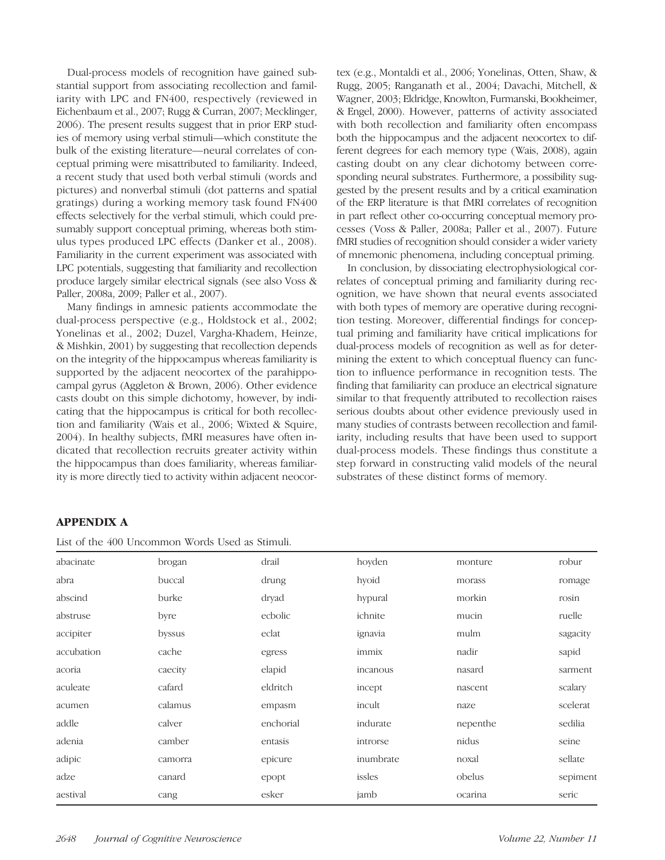Dual-process models of recognition have gained substantial support from associating recollection and familiarity with LPC and FN400, respectively (reviewed in Eichenbaum et al., 2007; Rugg & Curran, 2007; Mecklinger, 2006). The present results suggest that in prior ERP studies of memory using verbal stimuli—which constitute the bulk of the existing literature—neural correlates of conceptual priming were misattributed to familiarity. Indeed, a recent study that used both verbal stimuli (words and pictures) and nonverbal stimuli (dot patterns and spatial gratings) during a working memory task found FN400 effects selectively for the verbal stimuli, which could presumably support conceptual priming, whereas both stimulus types produced LPC effects (Danker et al., 2008). Familiarity in the current experiment was associated with LPC potentials, suggesting that familiarity and recollection produce largely similar electrical signals (see also Voss & Paller, 2008a, 2009; Paller et al., 2007).

Many findings in amnesic patients accommodate the dual-process perspective (e.g., Holdstock et al., 2002; Yonelinas et al., 2002; Duzel, Vargha-Khadem, Heinze, & Mishkin, 2001) by suggesting that recollection depends on the integrity of the hippocampus whereas familiarity is supported by the adjacent neocortex of the parahippocampal gyrus (Aggleton & Brown, 2006). Other evidence casts doubt on this simple dichotomy, however, by indicating that the hippocampus is critical for both recollection and familiarity (Wais et al., 2006; Wixted & Squire, 2004). In healthy subjects, fMRI measures have often indicated that recollection recruits greater activity within the hippocampus than does familiarity, whereas familiarity is more directly tied to activity within adjacent neocortex (e.g., Montaldi et al., 2006; Yonelinas, Otten, Shaw, & Rugg, 2005; Ranganath et al., 2004; Davachi, Mitchell, & Wagner, 2003; Eldridge, Knowlton, Furmanski, Bookheimer, & Engel, 2000). However, patterns of activity associated with both recollection and familiarity often encompass both the hippocampus and the adjacent neocortex to different degrees for each memory type (Wais, 2008), again casting doubt on any clear dichotomy between corresponding neural substrates. Furthermore, a possibility suggested by the present results and by a critical examination of the ERP literature is that fMRI correlates of recognition in part reflect other co-occurring conceptual memory processes (Voss & Paller, 2008a; Paller et al., 2007). Future fMRI studies of recognition should consider a wider variety of mnemonic phenomena, including conceptual priming.

In conclusion, by dissociating electrophysiological correlates of conceptual priming and familiarity during recognition, we have shown that neural events associated with both types of memory are operative during recognition testing. Moreover, differential findings for conceptual priming and familiarity have critical implications for dual-process models of recognition as well as for determining the extent to which conceptual fluency can function to influence performance in recognition tests. The finding that familiarity can produce an electrical signature similar to that frequently attributed to recollection raises serious doubts about other evidence previously used in many studies of contrasts between recollection and familiarity, including results that have been used to support dual-process models. These findings thus constitute a step forward in constructing valid models of the neural substrates of these distinct forms of memory.

#### APPENDIX A

| abacinate  | brogan  | drail     | hoyden    | monture  | robur    |  |
|------------|---------|-----------|-----------|----------|----------|--|
| abra       | buccal  | drung     | hyoid     | morass   | romage   |  |
| abscind    | burke   | dryad     | hypural   | morkin   | rosin    |  |
| abstruse   | byre    | ecbolic   | ichnite   | mucin    | ruelle   |  |
| accipiter  | byssus  | eclat     | ignavia   | mulm     | sagacity |  |
| accubation | cache   | egress    | immix     | nadir    | sapid    |  |
| acoria     | caecity | elapid    | incanous  | nasard   | sarment  |  |
| aculeate   | cafard  | eldritch  | incept    | nascent  | scalary  |  |
| acumen     | calamus | empasm    | incult    | naze     | scelerat |  |
| addle      | calver  | enchorial | indurate  | nepenthe | sedilia  |  |
| adenia     | camber  | entasis   | introrse  | nidus    | seine    |  |
| adipic     | camorra | epicure   | inumbrate | noxal    | sellate  |  |
| adze       | canard  | epopt     | issles    | obelus   | sepiment |  |
| aestival   | cang    | esker     | jamb      | ocarina  | seric    |  |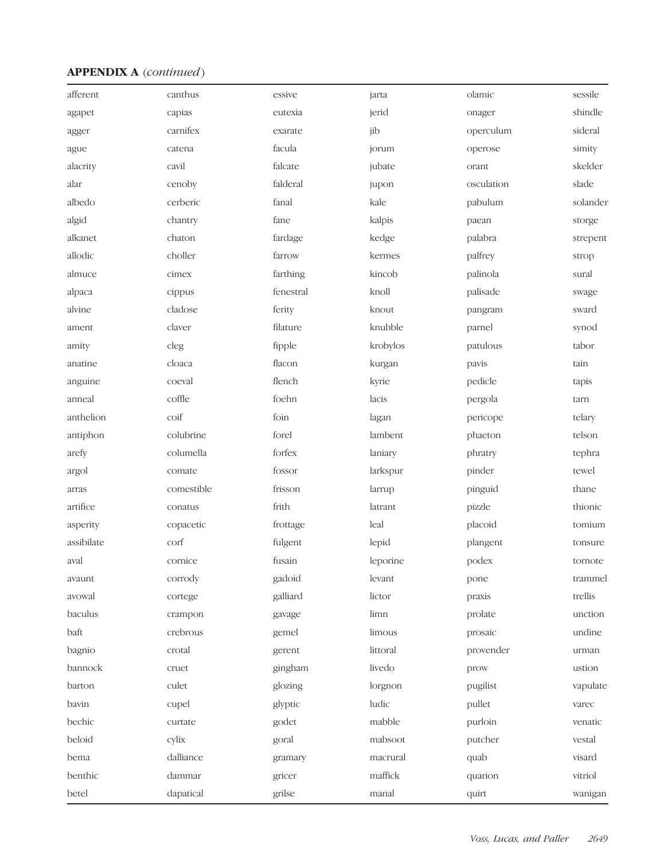# APPENDIX A (continued)

| afferent   | canthus    | essive    | jarta    | olamic     | sessile  |
|------------|------------|-----------|----------|------------|----------|
| agapet     | capias     | eutexia   | jerid    | onager     | shindle  |
| agger      | carnifex   | exarate   | jib      | operculum  | sideral  |
| ague       | catena     | facula    | jorum    | operose    | simity   |
| alacrity   | cavil      | falcate   | jubate   | orant      | skelder  |
| alar       | cenoby     | falderal  | jupon    | osculation | slade    |
| albedo     | cerberic   | fanal     | kale     | pabulum    | solander |
| algid      | chantry    | fane      | kalpis   | paean      | storge   |
| alkanet    | chaton     | fardage   | kedge    | palabra    | strepent |
| allodic    | choller    | farrow    | kermes   | palfrey    | strop    |
| almuce     | cimex      | farthing  | kincob   | palinola   | sural    |
| alpaca     | cippus     | fenestral | knoll    | palisade   | swage    |
| alvine     | cladose    | ferity    | knout    | pangram    | sward    |
| ament      | claver     | filature  | knubble  | parnel     | synod    |
| amity      | cleg       | fipple    | krobylos | patulous   | tabor    |
| anatine    | cloaca     | flacon    | kurgan   | pavis      | tain     |
| anguine    | coeval     | flench    | kyrie    | pedicle    | tapis    |
| anneal     | coffle     | foehn     | lacis    | pergola    | tarn     |
| anthelion  | coif       | foin      | lagan    | pericope   | telary   |
| antiphon   | colubrine  | forel     | lambent  | phaeton    | telson   |
| arefy      | columella  | forfex    | laniary  | phratry    | tephra   |
| argol      | comate     | fossor    | larkspur | pinder     | tewel    |
| arras      | comestible | frisson   | larrup   | pinguid    | thane    |
| artifice   | conatus    | frith     | latrant  | pizzle     | thionic  |
| asperity   | copacetic  | frottage  | leal     | placoid    | tomium   |
| assibilate | corf       | fulgent   | lepid    | plangent   | tonsure  |
| aval       | cornice    | fusain    | leporine | podex      | tornote  |
| avaunt     | corrody    | gadoid    | levant   | pone       | trammel  |
| avowal     | cortege    | galliard  | lictor   | praxis     | trellis  |
| baculus    | crampon    | gavage    | limn     | prolate    | unction  |
| baft       | crebrous   | gemel     | limous   | prosaic    | undine   |
| bagnio     | crotal     | gerent    | littoral | provender  | urman    |
| bannock    | cruet      | gingham   | livedo   | prow       | ustion   |
| barton     | culet      | glozing   | lorgnon  | pugilist   | vapulate |
| bavin      | cupel      | glyptic   | ludic    | pullet     | varec    |
| bechic     | curtate    | godet     | mabble   | purloin    | venatic  |
| beloid     | cylix      | goral     | mabsoot  | putcher    | vestal   |
| bema       | dalliance  | gramary   | macrural | quab       | visard   |
| benthic    | dammar     | gricer    | maffick  | quarion    | vitriol  |
| betel      | dapatical  | grilse    | manal    | quirt      | wanigan  |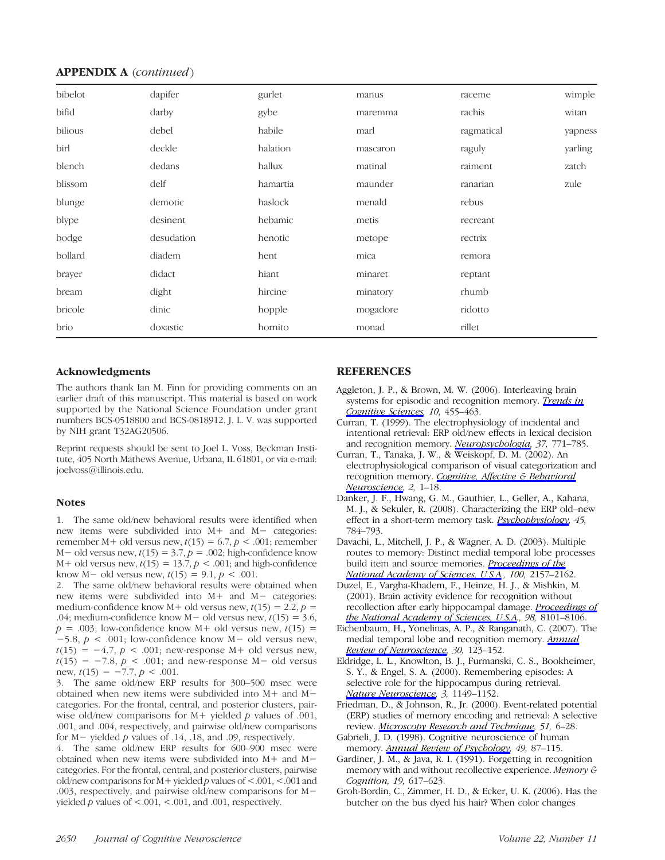#### APPENDIX A (continued)

| bibelot | dapifer    | gurlet   | manus    | raceme     | wimple  |
|---------|------------|----------|----------|------------|---------|
| bifid   | darby      | gybe     | maremma  | rachis     | witan   |
| bilious | debel      | habile   | marl     | ragmatical | yapness |
| birl    | deckle     | halation | mascaron | raguly     | yarling |
| blench  | dedans     | hallux   | matinal  | raiment    | zatch   |
| blissom | delf       | hamartia | maunder  | ranarian   | zule    |
| blunge  | demotic    | haslock  | menald   | rebus      |         |
| blype   | desinent   | hebamic  | metis    | recreant   |         |
| bodge   | desudation | henotic  | metope   | rectrix    |         |
| bollard | diadem     | hent     | mica     | remora     |         |
| brayer  | didact     | hiant    | minaret  | reptant    |         |
| bream   | dight      | hircine  | minatory | rhumb      |         |
| bricole | dinic      | hopple   | mogadore | ridotto    |         |
| brio    | doxastic   | hornito  | monad    | rillet     |         |

#### Acknowledgments

The authors thank Ian M. Finn for providing comments on an earlier draft of this manuscript. This material is based on work supported by the National Science Foundation under grant numbers BCS-0518800 and BCS-0818912. J. L. V. was supported by NIH grant T32AG20506.

Reprint requests should be sent to Joel L. Voss, Beckman Institute, 405 North Mathews Avenue, Urbana, IL 61801, or via e-mail: joelvoss@illinois.edu.

#### **Notes**

1. The same old/new behavioral results were identified when new items were subdivided into M+ and M− categories: remember M+ old versus new,  $t(15) = 6.7$ ,  $p < .001$ ; remember M – old versus new,  $t(15) = 3.7$ ,  $p = .002$ ; high-confidence know M+ old versus new,  $t(15) = 13.7, p < .001$ ; and high-confidence know M – old versus new,  $t(15) = 9.1, p < .001$ .

2. The same old/new behavioral results were obtained when new items were subdivided into M+ and M− categories: medium-confidence know  $M$ + old versus new,  $t(15) = 2.2$ ,  $p =$ .04; medium-confidence know M – old versus new,  $t(15) = 3.6$ ,  $p = .003$ ; low-confidence know M+ old versus new,  $t(15) =$  $-5.8$ ,  $p < .001$ ; low-confidence know M – old versus new,  $t(15) = -4.7$ ,  $p < .001$ ; new-response M+ old versus new,  $t(15) = -7.8$ ,  $p < .001$ ; and new-response M- old versus new,  $t(15) = -7.7$ ,  $p < .001$ .

3. The same old/new ERP results for 300–500 msec were obtained when new items were subdivided into M+ and M− categories. For the frontal, central, and posterior clusters, pairwise old/new comparisons for  $M+$  yielded p values of .001, .001, and .004, respectively, and pairwise old/new comparisons for M− yielded p values of .14, .18, and .09, respectively.

4. The same old/new ERP results for 600–900 msec were obtained when new items were subdivided into M+ and M− categories. For the frontal, central, and posterior clusters, pairwise old/new comparisons for  $M+$  yielded p values of <.001, <.001 and .003, respectively, and pairwise old/new comparisons for M− yielded  $p$  values of  $\leq 0.001$ ,  $\leq 0.001$ , and  $.001$ , respectively.

#### **REFERENCES**

- Aggleton, J. P., & Brown, M. W. (2006). Interleaving brain systems for episodic and recognition memory. *Trends in* Cognitive Sciences, 10, 455-463.
- Curran, T. (1999). The electrophysiology of incidental and intentional retrieval: ERP old/new effects in lexical decision and recognition memory. Neuropsychologia, 37, 771–785.
- Curran, T., Tanaka, J. W., & Weiskopf, D. M. (2002). An electrophysiological comparison of visual categorization and recognition memory. Cognitive, Affective & Behavioral Neuroscience, 2, 1-18.
- Danker, J. F., Hwang, G. M., Gauthier, L., Geller, A., Kahana, M. J., & Sekuler, R. (2008). Characterizing the ERP old–new effect in a short-term memory task. *Psychophysiology*, 45, 784–793.
- Davachi, L., Mitchell, J. P., & Wagner, A. D. (2003). Multiple routes to memory: Distinct medial temporal lobe processes build item and source memories. *Proceedings of the* National Academy of Sciences, U.S.A., 100, 2157–2162.
- Duzel, E., Vargha-Khadem, F., Heinze, H. J., & Mishkin, M. (2001). Brain activity evidence for recognition without recollection after early hippocampal damage. Proceedings of the National Academy of Sciences, U.S.A., 98, 8101-8106.
- Eichenbaum, H., Yonelinas, A. P., & Ranganath, C. (2007). The medial temporal lobe and recognition memory. Annual Review of Neuroscience, 30, 123-152.
- Eldridge, L. L., Knowlton, B. J., Furmanski, C. S., Bookheimer, S. Y., & Engel, S. A. (2000). Remembering episodes: A selective role for the hippocampus during retrieval. Nature Neuroscience, 3, 1149-1152.
- Friedman, D., & Johnson, R., Jr. (2000). Event-related potential (ERP) studies of memory encoding and retrieval: A selective review. Microscopy Research and Technique, 51, 6-28.
- Gabrieli, J. D. (1998). Cognitive neuroscience of human memory. Annual Review of Psychology, 49, 87-115.
- Gardiner, J. M., & Java, R. I. (1991). Forgetting in recognition memory with and without recollective experience. Memory & Cognition, 19, 617–623.
- Groh-Bordin, C., Zimmer, H. D., & Ecker, U. K. (2006). Has the butcher on the bus dyed his hair? When color changes